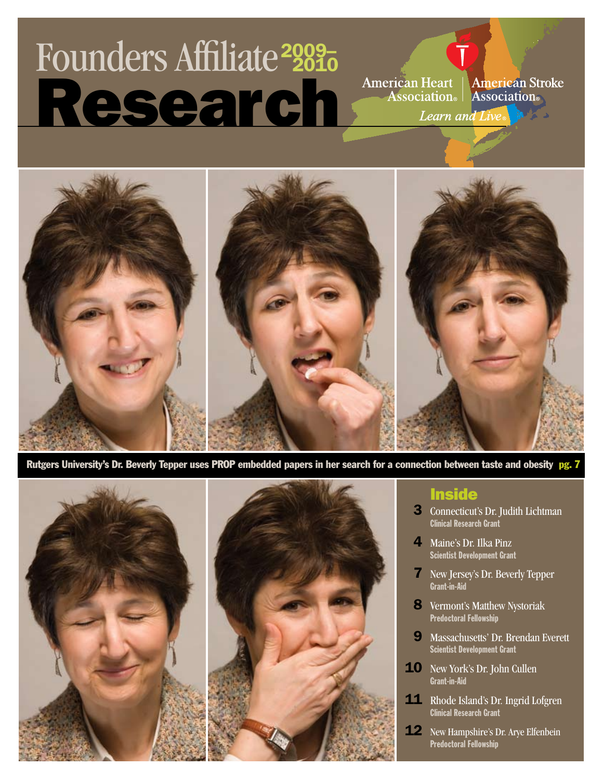# Research Founders Affiliate <sup>2010</sup> 2009–

American Heart | American Stroke<br>|--- Association | Association |

Learn and Live



 Rutgers University's Dr. Beverly Tepper uses PROP embedded papers in her search for a connection between taste and obesity pg. 7



#### **Inside**

- 3 Connecticut's Dr. Judith Lichtman Clinical Research Grant
- 4 Maine's Dr. Ilka Pinz Scientist Development Grant
- 7 New Jersey's Dr. Beverly Tepper Grant-in-Aid
- 8 Vermont's Matthew Nystoriak Predoctoral Fellowship
- 9 Massachusetts' Dr. Brendan Everett Scientist Development Grant
- 10 New York's Dr. John Cullen Grant-in-Aid
- 11 Rhode Island's Dr. Ingrid Lofgren Clinical Research Grant
- 12 New Hampshire's Dr. Arye Elfenbein Predoctoral Fellowship